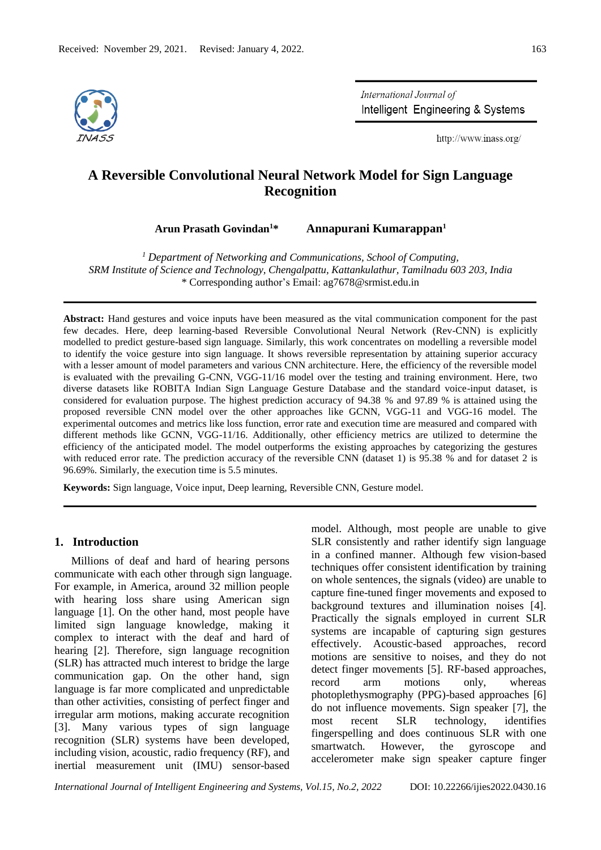

International Journal of Intelligent Engineering & Systems

http://www.inass.org/

# **A Reversible Convolutional Neural Network Model for Sign Language Recognition**

**Arun Prasath Govindan<sup>1</sup>\* Annapurani Kumarappan<sup>1</sup>**

*<sup>1</sup> Department of Networking and Communications, School of Computing, SRM Institute of Science and Technology, Chengalpattu, Kattankulathur, Tamilnadu 603 203, India* \* Corresponding author's Email: ag7678@srmist.edu.in

**Abstract:** Hand gestures and voice inputs have been measured as the vital communication component for the past few decades. Here, deep learning-based Reversible Convolutional Neural Network (Rev-CNN) is explicitly modelled to predict gesture-based sign language. Similarly, this work concentrates on modelling a reversible model to identify the voice gesture into sign language. It shows reversible representation by attaining superior accuracy with a lesser amount of model parameters and various CNN architecture. Here, the efficiency of the reversible model is evaluated with the prevailing G-CNN, VGG-11/16 model over the testing and training environment. Here, two diverse datasets like ROBITA Indian Sign Language Gesture Database and the standard voice-input dataset, is considered for evaluation purpose. The highest prediction accuracy of 94.38 % and 97.89 % is attained using the proposed reversible CNN model over the other approaches like GCNN, VGG-11 and VGG-16 model. The experimental outcomes and metrics like loss function, error rate and execution time are measured and compared with different methods like GCNN, VGG-11/16. Additionally, other efficiency metrics are utilized to determine the efficiency of the anticipated model. The model outperforms the existing approaches by categorizing the gestures with reduced error rate. The prediction accuracy of the reversible CNN (dataset 1) is 95.38 % and for dataset 2 is 96.69%. Similarly, the execution time is 5.5 minutes.

**Keywords:** Sign language, Voice input, Deep learning, Reversible CNN, Gesture model.

#### **1. Introduction**

Millions of deaf and hard of hearing persons communicate with each other through sign language. For example, in America, around 32 million people with hearing loss share using American sign language [1]. On the other hand, most people have limited sign language knowledge, making it complex to interact with the deaf and hard of hearing [2]. Therefore, sign language recognition (SLR) has attracted much interest to bridge the large communication gap. On the other hand, sign language is far more complicated and unpredictable than other activities, consisting of perfect finger and irregular arm motions, making accurate recognition [3]. Many various types of sign language recognition (SLR) systems have been developed, including vision, acoustic, radio frequency (RF), and inertial measurement unit (IMU) sensor-based

model. Although, most people are unable to give SLR consistently and rather identify sign language in a confined manner. Although few vision-based techniques offer consistent identification by training on whole sentences, the signals (video) are unable to capture fine-tuned finger movements and exposed to background textures and illumination noises [4]. Practically the signals employed in current SLR systems are incapable of capturing sign gestures effectively. Acoustic-based approaches, record motions are sensitive to noises, and they do not detect finger movements [5]. RF-based approaches, record arm motions only, whereas photoplethysmography (PPG)-based approaches [6] do not influence movements. Sign speaker [7], the most recent SLR technology, identifies fingerspelling and does continuous SLR with one smartwatch. However, the gyroscope and accelerometer make sign speaker capture finger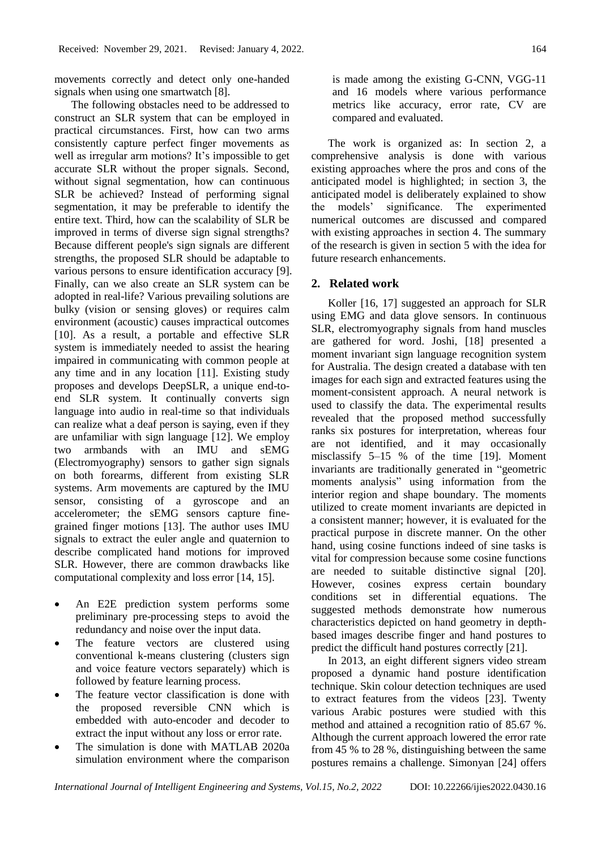movements correctly and detect only one-handed signals when using one smartwatch [8].

The following obstacles need to be addressed to construct an SLR system that can be employed in practical circumstances. First, how can two arms consistently capture perfect finger movements as well as irregular arm motions? It's impossible to get accurate SLR without the proper signals. Second, without signal segmentation, how can continuous SLR be achieved? Instead of performing signal segmentation, it may be preferable to identify the entire text. Third, how can the scalability of SLR be improved in terms of diverse sign signal strengths? Because different people's sign signals are different strengths, the proposed SLR should be adaptable to various persons to ensure identification accuracy [9]. Finally, can we also create an SLR system can be adopted in real-life? Various prevailing solutions are bulky (vision or sensing gloves) or requires calm environment (acoustic) causes impractical outcomes [10]. As a result, a portable and effective SLR system is immediately needed to assist the hearing impaired in communicating with common people at any time and in any location [11]. Existing study proposes and develops DeepSLR, a unique end-toend SLR system. It continually converts sign language into audio in real-time so that individuals can realize what a deaf person is saying, even if they are unfamiliar with sign language [12]. We employ two armbands with an IMU and sEMG (Electromyography) sensors to gather sign signals on both forearms, different from existing SLR systems. Arm movements are captured by the IMU sensor, consisting of a gyroscope and an accelerometer; the sEMG sensors capture finegrained finger motions [13]. The author uses IMU signals to extract the euler angle and quaternion to describe complicated hand motions for improved SLR. However, there are common drawbacks like computational complexity and loss error [14, 15].

- An E2E prediction system performs some preliminary pre-processing steps to avoid the redundancy and noise over the input data.
- The feature vectors are clustered using conventional k-means clustering (clusters sign and voice feature vectors separately) which is followed by feature learning process.
- The feature vector classification is done with the proposed reversible CNN which is embedded with auto-encoder and decoder to extract the input without any loss or error rate.
- The simulation is done with MATLAB 2020a simulation environment where the comparison

is made among the existing G-CNN, VGG-11 and 16 models where various performance metrics like accuracy, error rate, CV are compared and evaluated.

The work is organized as: In section 2, a comprehensive analysis is done with various existing approaches where the pros and cons of the anticipated model is highlighted; in section 3, the anticipated model is deliberately explained to show the models' significance. The experimented numerical outcomes are discussed and compared with existing approaches in section 4. The summary of the research is given in section 5 with the idea for future research enhancements.

## **2. Related work**

Koller [16, 17] suggested an approach for SLR using EMG and data glove sensors. In continuous SLR, electromyography signals from hand muscles are gathered for word. Joshi, [18] presented a moment invariant sign language recognition system for Australia. The design created a database with ten images for each sign and extracted features using the moment-consistent approach. A neural network is used to classify the data. The experimental results revealed that the proposed method successfully ranks six postures for interpretation, whereas four are not identified, and it may occasionally misclassify 5–15 % of the time [19]. Moment invariants are traditionally generated in "geometric moments analysis" using information from the interior region and shape boundary. The moments utilized to create moment invariants are depicted in a consistent manner; however, it is evaluated for the practical purpose in discrete manner. On the other hand, using cosine functions indeed of sine tasks is vital for compression because some cosine functions are needed to suitable distinctive signal [20]. However, cosines express certain boundary conditions set in differential equations. The suggested methods demonstrate how numerous characteristics depicted on hand geometry in depthbased images describe finger and hand postures to predict the difficult hand postures correctly [21].

In 2013, an eight different signers video stream proposed a dynamic hand posture identification technique. Skin colour detection techniques are used to extract features from the videos [23]. Twenty various Arabic postures were studied with this method and attained a recognition ratio of 85.67 %. Although the current approach lowered the error rate from 45 % to 28 %, distinguishing between the same postures remains a challenge. Simonyan [24] offers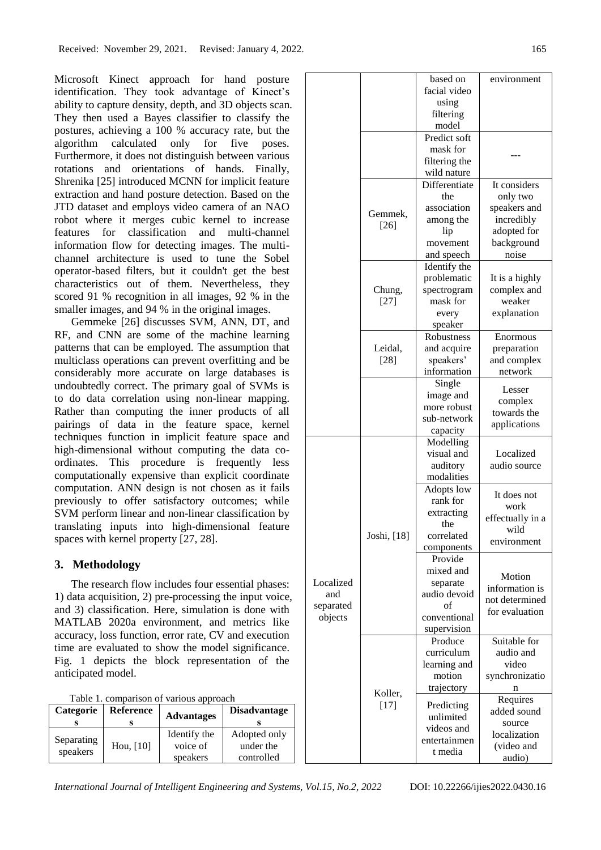Microsoft Kinect approach for hand posture identification. They took advantage of Kinect's ability to capture density, depth, and 3D objects scan. They then used a Bayes classifier to classify the postures, achieving a 100 % accuracy rate, but the algorithm calculated only for five poses. Furthermore, it does not distinguish between various rotations and orientations of hands. Finally, Shrenika [25] introduced MCNN for implicit feature extraction and hand posture detection. Based on the JTD dataset and employs video camera of an NAO robot where it merges cubic kernel to increase features for classification and multi-channel information flow for detecting images. The multichannel architecture is used to tune the Sobel operator-based filters, but it couldn't get the best characteristics out of them. Nevertheless, they scored 91 % recognition in all images, 92 % in the smaller images, and 94 % in the original images.

Gemmeke [26] discusses SVM, ANN, DT, and RF, and CNN are some of the machine learning patterns that can be employed. The assumption that multiclass operations can prevent overfitting and be considerably more accurate on large databases is undoubtedly correct. The primary goal of SVMs is to do data correlation using non-linear mapping. Rather than computing the inner products of all pairings of data in the feature space, kernel techniques function in implicit feature space and high-dimensional without computing the data coordinates. This procedure is frequently less computationally expensive than explicit coordinate computation. ANN design is not chosen as it fails previously to offer satisfactory outcomes; while SVM perform linear and non-linear classification by translating inputs into high-dimensional feature spaces with kernel property [27, 28].

## **3. Methodology**

The research flow includes four essential phases: 1) data acquisition, 2) pre-processing the input voice, and 3) classification. Here, simulation is done with MATLAB 2020a environment, and metrics like accuracy, loss function, error rate, CV and execution time are evaluated to show the model significance. Fig. 1 depicts the block representation of the anticipated model.

|  |  | Table 1. comparison of various approach |  |  |
|--|--|-----------------------------------------|--|--|
|--|--|-----------------------------------------|--|--|

| Categorie              | <b>Reference</b> | <b>Advantages</b> | <b>Disadvantage</b> |
|------------------------|------------------|-------------------|---------------------|
|                        |                  |                   |                     |
|                        |                  | Identify the      | Adopted only        |
| Separating<br>speakers | Hou, [10]        | voice of          | under the           |
|                        |                  | speakers          | controlled          |

|                      |                   | based on      | environment            |
|----------------------|-------------------|---------------|------------------------|
|                      |                   | facial video  |                        |
|                      |                   | using         |                        |
|                      |                   | filtering     |                        |
|                      |                   | model         |                        |
|                      |                   | Predict soft  |                        |
|                      |                   | mask for      |                        |
|                      |                   | filtering the |                        |
|                      |                   | wild nature   |                        |
|                      |                   | Differentiate | It considers           |
|                      |                   | the           | only two               |
|                      |                   | association   | speakers and           |
|                      | Gemmek,           | among the     | incredibly             |
|                      | $[26]$            | lip           | adopted for            |
|                      |                   | movement      | background             |
|                      |                   | and speech    | noise                  |
|                      |                   | Identify the  |                        |
|                      |                   | problematic   | It is a highly         |
|                      | Chung,            | spectrogram   | complex and            |
|                      | $[27]$            | mask for      | weaker                 |
|                      |                   | every         | explanation            |
|                      |                   | speaker       |                        |
|                      |                   | Robustness    | Enormous               |
|                      | Leidal,           | and acquire   | preparation            |
|                      | $[28]$            | speakers'     | and complex            |
|                      |                   | information   | network                |
|                      |                   | Single        |                        |
|                      |                   | image and     | Lesser                 |
|                      |                   | more robust   | complex<br>towards the |
|                      |                   | sub-network   | applications           |
|                      |                   | capacity      |                        |
|                      |                   | Modelling     |                        |
|                      |                   | visual and    | Localized              |
|                      | Joshi, [18]       | auditory      | audio source           |
|                      |                   | modalities    |                        |
|                      |                   | Adopts low    | It does not            |
|                      |                   | rank for      | work                   |
|                      |                   | extracting    | effectually in a       |
|                      |                   | the           | wild                   |
| Localized            |                   | correlated    | environment            |
|                      |                   | components    |                        |
|                      |                   | Provide       |                        |
|                      |                   | mixed and     | Motion                 |
|                      |                   | separate      | information is         |
| and                  |                   | audio devoid  | not determined         |
| separated<br>objects | Koller,<br>$[17]$ | of            | for evaluation         |
|                      |                   | conventional  |                        |
|                      |                   | supervision   |                        |
|                      |                   | Produce       | Suitable for           |
|                      |                   | curriculum    | audio and              |
|                      |                   | learning and  | video                  |
|                      |                   | motion        | synchronizatio         |
|                      |                   | trajectory    | n                      |
|                      |                   | Predicting    | Requires               |
|                      |                   | unlimited     | added sound            |
|                      |                   | videos and    | source<br>localization |
|                      |                   | entertainmen  | (video and             |
|                      |                   | t media       | audio)                 |
|                      |                   |               |                        |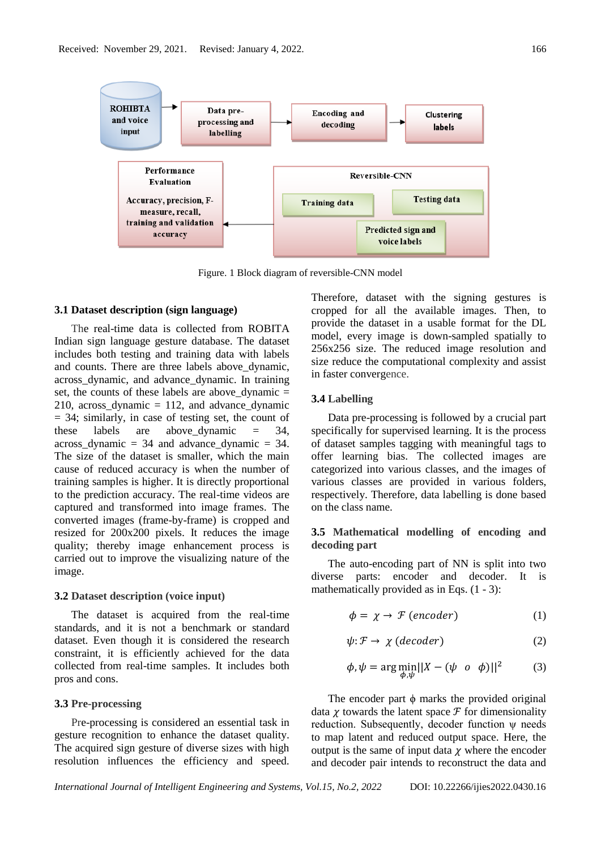

Figure. 1 Block diagram of reversible-CNN model

#### **3.1 Dataset description (sign language)**

The real-time data is collected from ROBITA Indian sign language gesture database. The dataset includes both testing and training data with labels and counts. There are three labels above\_dynamic, across\_dynamic, and advance\_dynamic. In training set, the counts of these labels are above  $\gamma$  dynamic = 210, across dynamic  $= 112$ , and advance dynamic  $= 34$ ; similarly, in case of testing set, the count of these labels are above dynamic  $=$  34, across dynamic  $= 34$  and advance dynamic  $= 34$ . The size of the dataset is smaller, which the main cause of reduced accuracy is when the number of training samples is higher. It is directly proportional to the prediction accuracy. The real-time videos are captured and transformed into image frames. The converted images (frame-by-frame) is cropped and resized for 200x200 pixels. It reduces the image quality; thereby image enhancement process is carried out to improve the visualizing nature of the image.

#### **3.2 Dataset description (voice input)**

The dataset is acquired from the real-time standards, and it is not a benchmark or standard dataset. Even though it is considered the research constraint, it is efficiently achieved for the data collected from real-time samples. It includes both pros and cons.

#### **3.3 Pre-processing**

Pre-processing is considered an essential task in gesture recognition to enhance the dataset quality. The acquired sign gesture of diverse sizes with high resolution influences the efficiency and speed.

Therefore, dataset with the signing gestures is cropped for all the available images. Then, to provide the dataset in a usable format for the DL model, every image is down-sampled spatially to 256x256 size. The reduced image resolution and size reduce the computational complexity and assist in faster convergence.

#### **3.4 Labelling**

Data pre-processing is followed by a crucial part specifically for supervised learning. It is the process of dataset samples tagging with meaningful tags to offer learning bias. The collected images are categorized into various classes, and the images of various classes are provided in various folders, respectively. Therefore, data labelling is done based on the class name.

## **3.5 Mathematical modelling of encoding and decoding part**

The auto-encoding part of NN is split into two diverse parts: encoder and decoder. It is mathematically provided as in Eqs.  $(1 - 3)$ :

$$
\phi = \chi \to \mathcal{F} \ (encoder) \tag{1}
$$

$$
\psi \colon \mathcal{F} \to \chi \text{ (decoder)} \tag{2}
$$

$$
\phi, \psi = \arg \min_{\phi, \psi} |X - (\psi \quad o \quad \phi)|^2 \tag{3}
$$

The encoder part  $\phi$  marks the provided original data  $\chi$  towards the latent space  $\mathcal F$  for dimensionality reduction. Subsequently, decoder function ψ needs to map latent and reduced output space. Here, the output is the same of input data  $\gamma$  where the encoder and decoder pair intends to reconstruct the data and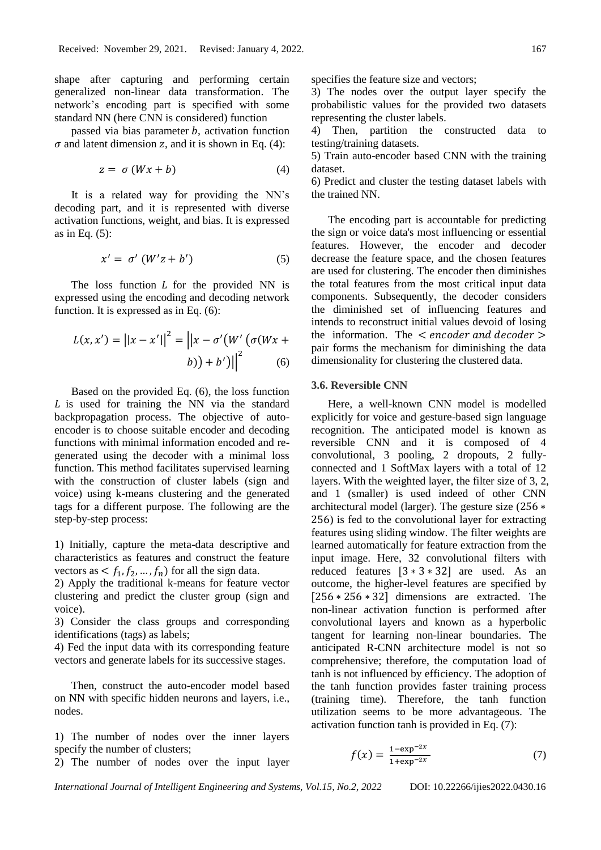shape after capturing and performing certain generalized non-linear data transformation. The network's encoding part is specified with some standard NN (here CNN is considered) function

passed via bias parameter  $b$ , activation function  $\sigma$  and latent dimension z, and it is shown in Eq. (4):

$$
z = \sigma (Wx + b) \tag{4}
$$

It is a related way for providing the NN's decoding part, and it is represented with diverse activation functions, weight, and bias. It is expressed as in Eq. (5):

$$
x' = \sigma' (W'z + b')
$$
 (5)

The loss function  $L$  for the provided NN is expressed using the encoding and decoding network function. It is expressed as in Eq. (6):

$$
L(x, x') = ||x - x'||^{2} = ||x - \sigma'(W'(\sigma(Wx + b)) + b')||^{2}
$$
 (6)

Based on the provided Eq. (6), the loss function  $L$  is used for training the NN via the standard backpropagation process. The objective of autoencoder is to choose suitable encoder and decoding functions with minimal information encoded and regenerated using the decoder with a minimal loss function. This method facilitates supervised learning with the construction of cluster labels (sign and voice) using k-means clustering and the generated tags for a different purpose. The following are the step-by-step process:

1) Initially, capture the meta-data descriptive and characteristics as features and construct the feature vectors as  $\lt f_1, f_2, \ldots, f_n$  for all the sign data.

2) Apply the traditional k-means for feature vector clustering and predict the cluster group (sign and voice).

3) Consider the class groups and corresponding identifications (tags) as labels;

4) Fed the input data with its corresponding feature vectors and generate labels for its successive stages.

Then, construct the auto-encoder model based on NN with specific hidden neurons and layers, i.e., nodes.

1) The number of nodes over the inner layers specify the number of clusters;

2) The number of nodes over the input layer

specifies the feature size and vectors;

3) The nodes over the output layer specify the probabilistic values for the provided two datasets representing the cluster labels.

4) Then, partition the constructed data to testing/training datasets.

5) Train auto-encoder based CNN with the training dataset.

6) Predict and cluster the testing dataset labels with the trained NN.

The encoding part is accountable for predicting the sign or voice data's most influencing or essential features. However, the encoder and decoder decrease the feature space, and the chosen features are used for clustering. The encoder then diminishes the total features from the most critical input data components. Subsequently, the decoder considers the diminished set of influencing features and intends to reconstruct initial values devoid of losing the information. The  $\lt$  encoder and decoder  $\gt$ pair forms the mechanism for diminishing the data dimensionality for clustering the clustered data.

#### **3.6. Reversible CNN**

Here, a well-known CNN model is modelled explicitly for voice and gesture-based sign language recognition. The anticipated model is known as reversible CNN and it is composed of 4 convolutional, 3 pooling, 2 dropouts, 2 fullyconnected and 1 SoftMax layers with a total of 12 layers. With the weighted layer, the filter size of 3, 2, and 1 (smaller) is used indeed of other CNN architectural model (larger). The gesture size (256 ∗ 256) is fed to the convolutional layer for extracting features using sliding window. The filter weights are learned automatically for feature extraction from the input image. Here, 32 convolutional filters with reduced features [3 ∗ 3 ∗ 32] are used. As an outcome, the higher-level features are specified by [256 ∗ 256 ∗ 32] dimensions are extracted. The non-linear activation function is performed after convolutional layers and known as a hyperbolic tangent for learning non-linear boundaries. The anticipated R-CNN architecture model is not so comprehensive; therefore, the computation load of tanh is not influenced by efficiency. The adoption of the tanh function provides faster training process (training time). Therefore, the tanh function utilization seems to be more advantageous. The activation function tanh is provided in Eq. (7):

$$
f(x) = \frac{1 - \exp^{-2x}}{1 + \exp^{-2x}}
$$
 (7)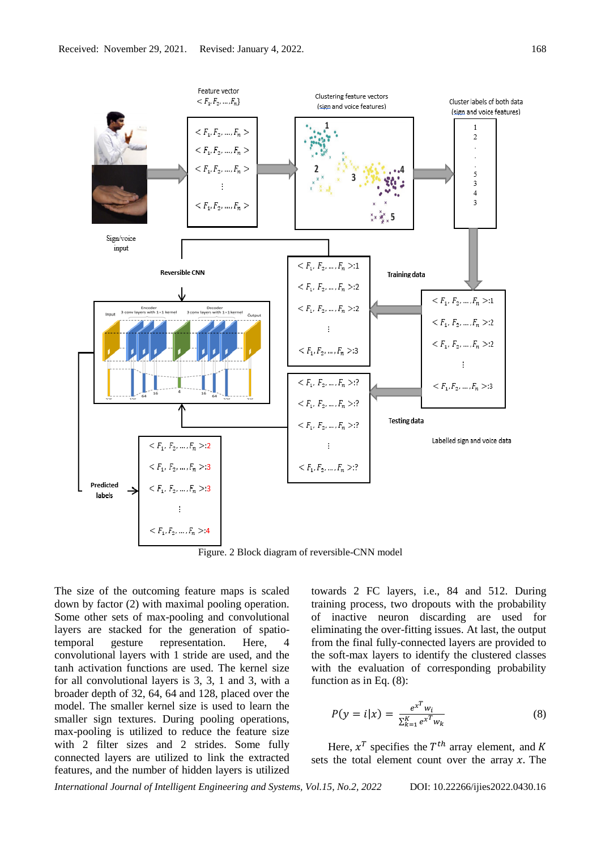

Figure. 2 Block diagram of reversible-CNN model

The size of the outcoming feature maps is scaled down by factor (2) with maximal pooling operation. Some other sets of max-pooling and convolutional layers are stacked for the generation of spatiotemporal gesture representation. Here, 4 convolutional layers with 1 stride are used, and the tanh activation functions are used. The kernel size for all convolutional layers is 3, 3, 1 and 3, with a broader depth of 32, 64, 64 and 128, placed over the model. The smaller kernel size is used to learn the smaller sign textures. During pooling operations, max-pooling is utilized to reduce the feature size with 2 filter sizes and 2 strides. Some fully connected layers are utilized to link the extracted features, and the number of hidden layers is utilized towards 2 FC layers, i.e., 84 and 512. During training process, two dropouts with the probability of inactive neuron discarding are used for eliminating the over-fitting issues. At last, the output from the final fully-connected layers are provided to the soft-max layers to identify the clustered classes with the evaluation of corresponding probability function as in Eq. (8):

$$
P(y = i|x) = \frac{e^{x^T} w_i}{\sum_{k=1}^K e^{x^T} w_k}
$$
\n
$$
(8)
$$

Here,  $x^T$  specifies the  $T^{th}$  array element, and K sets the total element count over the array  $x$ . The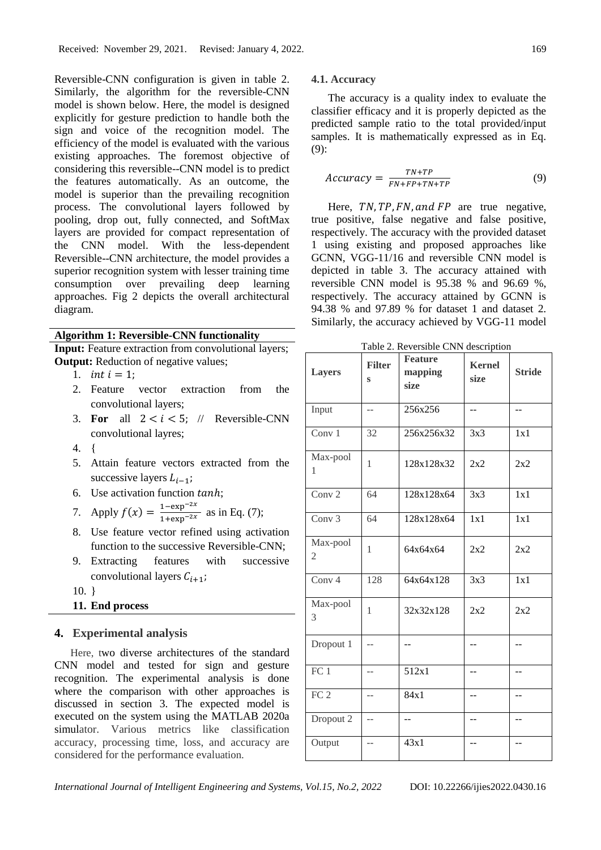Reversible-CNN configuration is given in table 2. Similarly, the algorithm for the reversible-CNN model is shown below. Here, the model is designed explicitly for gesture prediction to handle both the sign and voice of the recognition model. The efficiency of the model is evaluated with the various existing approaches. The foremost objective of considering this reversible--CNN model is to predict the features automatically. As an outcome, the model is superior than the prevailing recognition process. The convolutional layers followed by pooling, drop out, fully connected, and SoftMax layers are provided for compact representation of the CNN model. With the less-dependent Reversible--CNN architecture, the model provides a superior recognition system with lesser training time consumption over prevailing deep learning approaches. Fig 2 depicts the overall architectural diagram.

| <b>Algorithm 1: Reversible-CNN functionality</b>            |
|-------------------------------------------------------------|
| <b>Input:</b> Feature extraction from convolutional layers; |
| <b>Output:</b> Reduction of negative values;                |

- 1. *int i* = 1;
- 2. Feature vector extraction from the convolutional layers;
- 3. **For** all  $2 < i < 5$ ; // Reversible-CNN convolutional layres;
- 4. {
- 5. Attain feature vectors extracted from the successive layers  $L_{i-1}$ ;
- 6. Use activation function  $tanh$ :  $1 - e^{-x}$

7. Apply 
$$
f(x) = \frac{1 - \exp^{-2x}}{1 + \exp^{-2x}}
$$
 as in Eq. (7);

- 8. Use feature vector refined using activation function to the successive Reversible-CNN;
- 9. Extracting features with successive convolutional layers  $C_{i+1}$ ;
- 10. }
- **11. End process**

## **4. Experimental analysis**

Here, two diverse architectures of the standard CNN model and tested for sign and gesture recognition. The experimental analysis is done where the comparison with other approaches is discussed in section 3. The expected model is executed on the system using the MATLAB 2020a simulator. Various metrics like classification accuracy, processing time, loss, and accuracy are considered for the performance evaluation.

#### **4.1. Accuracy**

The accuracy is a quality index to evaluate the classifier efficacy and it is properly depicted as the predicted sample ratio to the total provided/input samples. It is mathematically expressed as in Eq. (9):

$$
Accuracy = \frac{TN + TP}{FN + FP + TN + TP}
$$
 (9)

Here,  $TN$ ,  $TP$ ,  $FN$ , and  $FP$  are true negative, true positive, false negative and false positive, respectively. The accuracy with the provided dataset 1 using existing and proposed approaches like GCNN, VGG-11/16 and reversible CNN model is depicted in table 3. The accuracy attained with reversible CNN model is 95.38 % and 96.69 %, respectively. The accuracy attained by GCNN is 94.38 % and 97.89 % for dataset 1 and dataset 2. Similarly, the accuracy achieved by VGG-11 model

Table 2. Reversible CNN description

| <b>Layers</b>     | <b>Filter</b><br>S | $\frac{1}{2}$ . Acceptible Cr $\frac{1}{2}$ description<br><b>Feature</b><br>mapping<br>size | <b>Kernel</b><br>size | <b>Stride</b>    |
|-------------------|--------------------|----------------------------------------------------------------------------------------------|-----------------------|------------------|
| Input             | $-$                | 256x256                                                                                      | --                    |                  |
| Conv 1            | 32                 | 256x256x32                                                                                   | 3x3                   | 1x1              |
| Max-pool<br>1     | $\mathbf{1}$       | 128x128x32                                                                                   | 2x2                   | 2x2              |
| Conv 2            | 64                 | 128x128x64                                                                                   | 3x3                   | 1x1              |
| Conv 3            | 64                 | 128x128x64                                                                                   | $\overline{1x1}$      | $\overline{1x1}$ |
| Max-pool<br>2     | $\mathbf{1}$       | 64x64x64                                                                                     | 2x2                   | 2x2              |
| Conv <sub>4</sub> | 128                | 64x64x128                                                                                    | 3x3                   | 1x1              |
| Max-pool<br>3     | $\mathbf{1}$       | 32x32x128                                                                                    | 2x2                   | 2x2              |
| Dropout 1         | $\overline{a}$     |                                                                                              |                       | --               |
| FC1               | $-$                | 512x1                                                                                        |                       |                  |
| FC <sub>2</sub>   | --                 | $\frac{84x1}{x}$                                                                             | $-$                   | --               |
| Dropout 2         | $-$                | --                                                                                           | $-$                   | --               |
| Output            |                    | 43x1                                                                                         |                       |                  |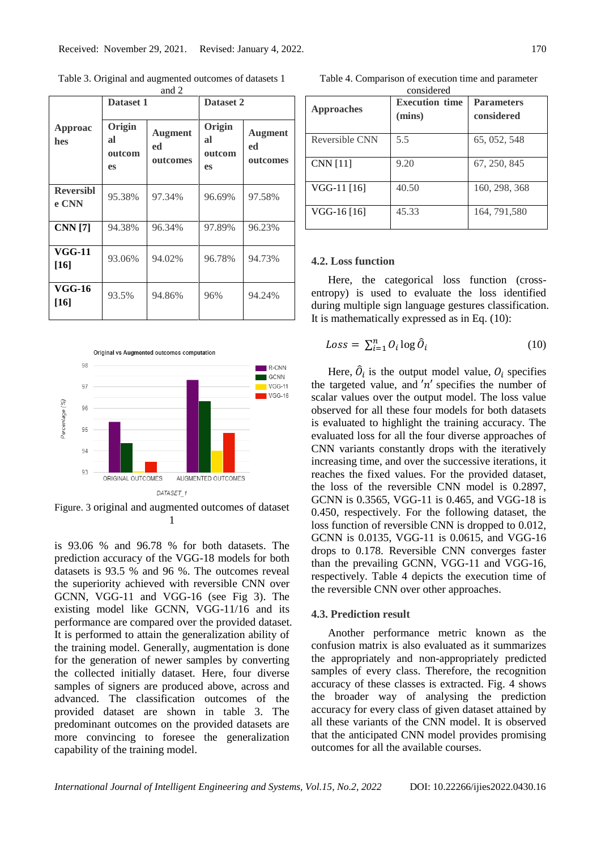|                           | Dataset 1                           |                                  | Dataset 2                    |                                  |
|---------------------------|-------------------------------------|----------------------------------|------------------------------|----------------------------------|
| Approac<br>hes            | Origin<br>al<br>outcom<br><b>es</b> | <b>Augment</b><br>ed<br>outcomes | Origin<br>al<br>outcom<br>es | <b>Augment</b><br>ed<br>outcomes |
| <b>Reversibl</b><br>e CNN | 95.38%                              | 97.34%                           | 96.69%                       | 97.58%                           |
| <b>CNN</b> [7]            | 94.38%                              | 96.34%                           | 97.89%                       | 96.23%                           |
| VGG-11<br>[16]            | 93.06%                              | 94.02%                           | 96.78%                       | 94.73%                           |
| VGG-16<br>[16]            | 93.5%                               | 94.86%                           | 96%                          | 94.24%                           |

Table 3. Original and augmented outcomes of datasets 1 and 2



Figure. 3 original and augmented outcomes of dataset 1

is 93.06 % and 96.78 % for both datasets. The prediction accuracy of the VGG-18 models for both datasets is 93.5 % and 96 %. The outcomes reveal the superiority achieved with reversible CNN over GCNN, VGG-11 and VGG-16 (see Fig 3). The existing model like GCNN, VGG-11/16 and its performance are compared over the provided dataset. It is performed to attain the generalization ability of the training model. Generally, augmentation is done for the generation of newer samples by converting the collected initially dataset. Here, four diverse samples of signers are produced above, across and advanced. The classification outcomes of the provided dataset are shown in table 3. The predominant outcomes on the provided datasets are more convincing to foresee the generalization capability of the training model.

Table 4. Comparison of execution time and parameter

| <b>Approaches</b> | <b>Execution time</b><br>(mins) | <b>Parameters</b><br>considered |
|-------------------|---------------------------------|---------------------------------|
| Reversible CNN    | 5.5                             | 65, 052, 548                    |
| <b>CNN</b> [11]   | 9.20                            | 67, 250, 845                    |
| VGG-11 [16]       | 40.50                           | 160, 298, 368                   |
| VGG-16 [16]       | 45.33                           | 164, 791, 580                   |

## **4.2. Loss function**

Here, the categorical loss function (crossentropy) is used to evaluate the loss identified during multiple sign language gestures classification. It is mathematically expressed as in Eq. (10):

$$
Loss = \sum_{i=1}^{n} O_i \log \hat{O}_i \tag{10}
$$

Here,  $\hat{O}_i$  is the output model value,  $O_i$  specifies the targeted value, and 'n' specifies the number of scalar values over the output model. The loss value observed for all these four models for both datasets is evaluated to highlight the training accuracy. The evaluated loss for all the four diverse approaches of CNN variants constantly drops with the iteratively increasing time, and over the successive iterations, it reaches the fixed values. For the provided dataset, the loss of the reversible CNN model is 0.2897, GCNN is 0.3565, VGG-11 is 0.465, and VGG-18 is 0.450, respectively. For the following dataset, the loss function of reversible CNN is dropped to 0.012, GCNN is 0.0135, VGG-11 is 0.0615, and VGG-16 drops to 0.178. Reversible CNN converges faster than the prevailing GCNN, VGG-11 and VGG-16, respectively. Table 4 depicts the execution time of the reversible CNN over other approaches.

#### **4.3. Prediction result**

Another performance metric known as the confusion matrix is also evaluated as it summarizes the appropriately and non-appropriately predicted samples of every class. Therefore, the recognition accuracy of these classes is extracted. Fig. 4 shows the broader way of analysing the prediction accuracy for every class of given dataset attained by all these variants of the CNN model. It is observed that the anticipated CNN model provides promising outcomes for all the available courses.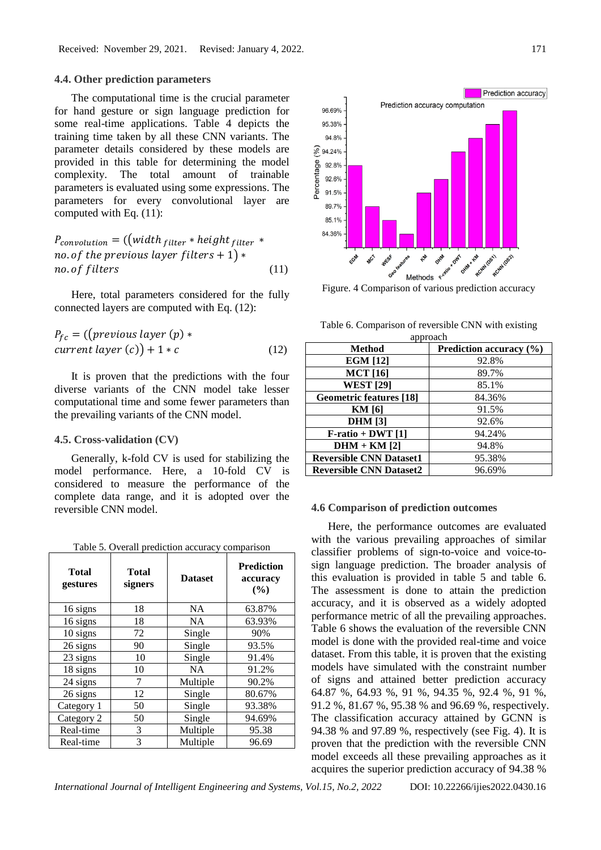#### **4.4. Other prediction parameters**

The computational time is the crucial parameter for hand gesture or sign language prediction for some real-time applications. Table 4 depicts the training time taken by all these CNN variants. The parameter details considered by these models are provided in this table for determining the model complexity. The total amount of trainable parameters is evaluated using some expressions. The parameters for every convolutional layer are computed with Eq. (11):

$$
P_{convolution} = ((width_{filter} * height_{filter} * no. of the previous layer filters + 1) *\nno. of filters
$$
\n(11)

Here, total parameters considered for the fully connected layers are computed with Eq. (12):

$$
P_{fc} = ((previous layer (p) *current layer (c)) + 1 * c
$$
 (12)

It is proven that the predictions with the four diverse variants of the CNN model take lesser computational time and some fewer parameters than the prevailing variants of the CNN model.

#### **4.5. Cross-validation (CV)**

Generally, k-fold CV is used for stabilizing the model performance. Here, a 10-fold CV is considered to measure the performance of the complete data range, and it is adopted over the reversible CNN model.

Table 5. Overall prediction accuracy comparison

| <b>Total</b><br>gestures | <b>Total</b><br>signers | <b>Dataset</b> | <b>Prediction</b><br>accuracy<br>(%) |
|--------------------------|-------------------------|----------------|--------------------------------------|
| 16 signs                 | 18                      | NA             | 63.87%                               |
| 16 signs                 | 18                      | <b>NA</b>      | 63.93%                               |
| 10 signs                 | 72                      | Single         | 90%                                  |
| 26 signs                 | 90                      | Single         | 93.5%                                |
| 23 signs                 | 10                      | Single         | 91.4%                                |
| 18 signs                 | 10                      | NA             | 91.2%                                |
| 24 signs                 | 7                       | Multiple       | 90.2%                                |
| 26 signs                 | 12                      | Single         | 80.67%                               |
| Category 1               | 50                      | Single         | 93.38%                               |
| Category 2               | 50                      | Single         | 94.69%                               |
| Real-time                | 3                       | Multiple       | 95.38                                |
| Real-time                | 3                       | Multiple       | 96.69                                |



Figure. 4 Comparison of various prediction accuracy

Table 6. Comparison of reversible CNN with existing

| approach                       |                             |  |  |
|--------------------------------|-----------------------------|--|--|
| <b>Method</b>                  | Prediction accuracy $(\% )$ |  |  |
| <b>EGM</b> [12]                | 92.8%                       |  |  |
| <b>MCT</b> [16]                | 89.7%                       |  |  |
| <b>WEST [29]</b>               | 85.1%                       |  |  |
| <b>Geometric features</b> [18] | 84.36%                      |  |  |
| <b>KM</b> [6]                  | 91.5%                       |  |  |
| <b>DHM</b> [3]                 | 92.6%                       |  |  |
| $F-ratio + DWT [1]$            | 94.24%                      |  |  |
| $DHM + KM$ [2]                 | 94.8%                       |  |  |
| <b>Reversible CNN Dataset1</b> | 95.38%                      |  |  |
| <b>Reversible CNN Dataset2</b> | 96.69%                      |  |  |

#### **4.6 Comparison of prediction outcomes**

Here, the performance outcomes are evaluated with the various prevailing approaches of similar classifier problems of sign-to-voice and voice-tosign language prediction. The broader analysis of this evaluation is provided in table 5 and table 6. The assessment is done to attain the prediction accuracy, and it is observed as a widely adopted performance metric of all the prevailing approaches. Table 6 shows the evaluation of the reversible CNN model is done with the provided real-time and voice dataset. From this table, it is proven that the existing models have simulated with the constraint number of signs and attained better prediction accuracy 64.87 %, 64.93 %, 91 %, 94.35 %, 92.4 %, 91 %, 91.2 %, 81.67 %, 95.38 % and 96.69 %, respectively. The classification accuracy attained by GCNN is 94.38 % and 97.89 %, respectively (see Fig. 4). It is proven that the prediction with the reversible CNN model exceeds all these prevailing approaches as it acquires the superior prediction accuracy of 94.38 %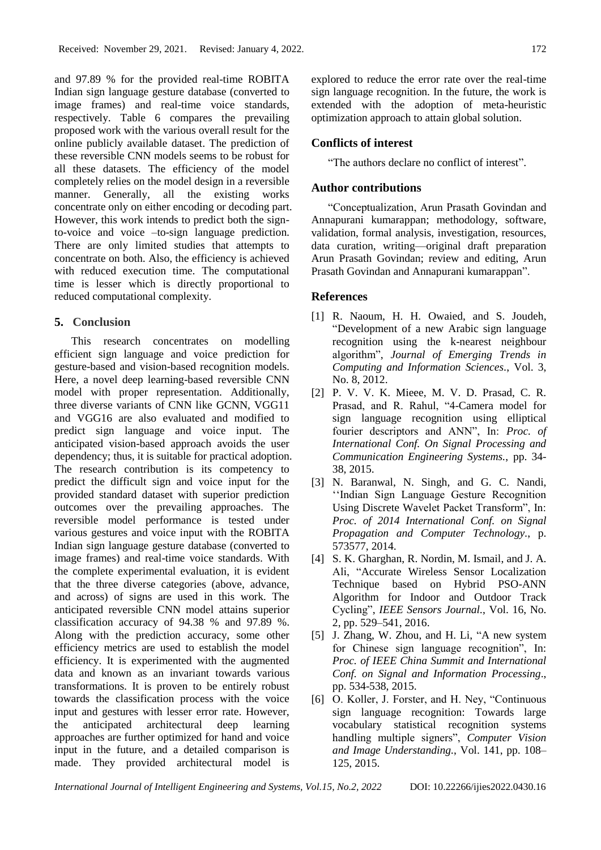and 97.89 % for the provided real-time ROBITA Indian sign language gesture database (converted to image frames) and real-time voice standards, respectively. Table 6 compares the prevailing proposed work with the various overall result for the online publicly available dataset. The prediction of these reversible CNN models seems to be robust for all these datasets. The efficiency of the model completely relies on the model design in a reversible manner. Generally, all the existing works concentrate only on either encoding or decoding part. However, this work intends to predict both the signto-voice and voice –to-sign language prediction. There are only limited studies that attempts to concentrate on both. Also, the efficiency is achieved with reduced execution time. The computational time is lesser which is directly proportional to reduced computational complexity.

## **5. Conclusion**

This research concentrates on modelling efficient sign language and voice prediction for gesture-based and vision-based recognition models. Here, a novel deep learning-based reversible CNN model with proper representation. Additionally, three diverse variants of CNN like GCNN, VGG11 and VGG16 are also evaluated and modified to predict sign language and voice input. The anticipated vision-based approach avoids the user dependency; thus, it is suitable for practical adoption. The research contribution is its competency to predict the difficult sign and voice input for the provided standard dataset with superior prediction outcomes over the prevailing approaches. The reversible model performance is tested under various gestures and voice input with the ROBITA Indian sign language gesture database (converted to image frames) and real-time voice standards. With the complete experimental evaluation, it is evident that the three diverse categories (above, advance, and across) of signs are used in this work. The anticipated reversible CNN model attains superior classification accuracy of 94.38 % and 97.89 %. Along with the prediction accuracy, some other efficiency metrics are used to establish the model efficiency. It is experimented with the augmented data and known as an invariant towards various transformations. It is proven to be entirely robust towards the classification process with the voice input and gestures with lesser error rate. However, the anticipated architectural deep learning approaches are further optimized for hand and voice input in the future, and a detailed comparison is made. They provided architectural model is

explored to reduce the error rate over the real-time sign language recognition. In the future, the work is extended with the adoption of meta-heuristic optimization approach to attain global solution.

## **Conflicts of interest**

"The authors declare no conflict of interest".

## **Author contributions**

"Conceptualization, Arun Prasath Govindan and Annapurani kumarappan; methodology, software, validation, formal analysis, investigation, resources, data curation, writing—original draft preparation Arun Prasath Govindan; review and editing, Arun Prasath Govindan and Annapurani kumarappan".

#### **References**

- [1] R. Naoum, H. H. Owaied, and S. Joudeh, "Development of a new Arabic sign language recognition using the k-nearest neighbour algorithm", *Journal of Emerging Trends in Computing and Information Sciences.*, Vol. 3, No. 8, 2012.
- [2] P. V. V. K. Mieee, M. V. D. Prasad, C. R. Prasad, and R. Rahul, "4-Camera model for sign language recognition using elliptical fourier descriptors and ANN", In: *Proc. of International Conf. On Signal Processing and Communication Engineering Systems.*, pp. 34- 38, 2015.
- [3] N. Baranwal, N. Singh, and G. C. Nandi, ''Indian Sign Language Gesture Recognition Using Discrete Wavelet Packet Transform", In: *Proc. of 2014 International Conf. on Signal Propagation and Computer Technology.*, p. 573577, 2014.
- [4] S. K. Gharghan, R. Nordin, M. Ismail, and J. A. Ali, "Accurate Wireless Sensor Localization Technique based on Hybrid PSO-ANN Algorithm for Indoor and Outdoor Track Cycling", *IEEE Sensors Journal.*, Vol. 16, No. 2, pp. 529–541, 2016.
- [5] J. Zhang, W. Zhou, and H. Li, "A new system for Chinese sign language recognition", In: *Proc. of IEEE China Summit and International Conf. on Signal and Information Processing*., pp. 534-538, 2015.
- [6] O. Koller, J. Forster, and H. Ney, "Continuous sign language recognition: Towards large vocabulary statistical recognition systems handling multiple signers", *Computer Vision and Image Understanding.*, Vol. 141, pp. 108– 125, 2015.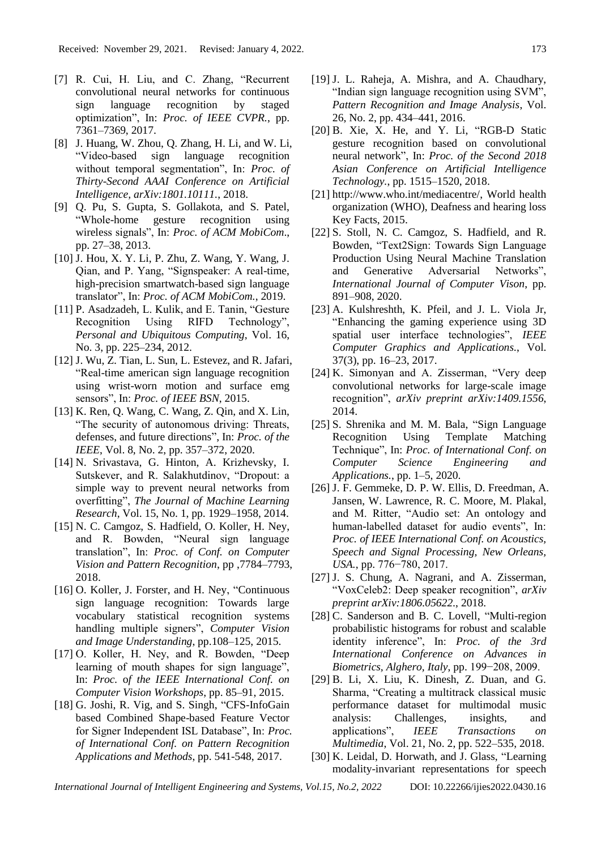- [7] R. Cui, H. Liu, and C. Zhang, "Recurrent convolutional neural networks for continuous sign language recognition by staged optimization", In: *Proc. of IEEE CVPR.*, pp. 7361–7369, 2017.
- [8] J. Huang, W. Zhou, Q. Zhang, H. Li, and W. Li, "Video-based sign language recognition without temporal segmentation", In: *Proc. of Thirty-Second AAAI Conference on Artificial Intelligence, arXiv:1801.10111.*, 2018.
- [9] Q. Pu, S. Gupta, S. Gollakota, and S. Patel, "Whole-home gesture recognition using wireless signals", In: *Proc. of ACM MobiCom*., pp. 27–38, 2013.
- [10] J. Hou, X. Y. Li, P. Zhu, Z. Wang, Y. Wang, J. Qian, and P. Yang, "Signspeaker: A real-time, high-precision smartwatch-based sign language translator", In: *Proc. of ACM MobiCom.*, 2019.
- [11] P. Asadzadeh, L. Kulik, and E. Tanin, "Gesture Recognition Using RIFD Technology", *Personal and Ubiquitous Computing*, Vol. 16, No. 3, pp. 225–234, 2012.
- [12] J. Wu, Z. Tian, L. Sun, L. Estevez, and R. Jafari, "Real-time american sign language recognition using wrist-worn motion and surface emg sensors", In: *Proc. of IEEE BSN*, 2015.
- [13] K. Ren, Q. Wang, C. Wang, Z. Qin, and X. Lin, "The security of autonomous driving: Threats, defenses, and future directions", In: *Proc. of the IEEE*, Vol. 8, No. 2, pp. 357–372, 2020.
- [14] N. Srivastava, G. Hinton, A. Krizhevsky, I. Sutskever, and R. Salakhutdinov, "Dropout: a simple way to prevent neural networks from overfitting", *The Journal of Machine Learning Research*, Vol. 15, No. 1, pp. 1929–1958, 2014.
- [15] N. C. Camgoz, S. Hadfield, O. Koller, H. Ney, and R. Bowden, "Neural sign language translation", In: *Proc. of Conf. on Computer Vision and Pattern Recognition*, pp ,7784–7793, 2018.
- [16] O. Koller, J. Forster, and H. Ney, "Continuous sign language recognition: Towards large vocabulary statistical recognition systems handling multiple signers", *Computer Vision and Image Understanding*, pp.108–125, 2015.
- [17] O. Koller, H. Ney, and R. Bowden, "Deep learning of mouth shapes for sign language", In: *Proc.* o*f the IEEE International Conf. on Computer Vision Workshops*, pp. 85–91, 2015.
- [18] G. Joshi, R. Vig, and S. Singh, "CFS-InfoGain based Combined Shape-based Feature Vector for Signer Independent ISL Database", In: *Proc. of International Conf. on Pattern Recognition Applications and Methods*, pp. 541-548, 2017.
- [19] J. L. Raheja, A. Mishra, and A. Chaudhary, "Indian sign language recognition using SVM", *Pattern Recognition and Image Analysis*, Vol. 26, No. 2, pp. 434–441, 2016.
- [20] B. Xie, X. He, and Y. Li, "RGB-D Static gesture recognition based on convolutional neural network", In: *Proc. of the Second 2018 Asian Conference on Artificial Intelligence Technology.*, pp. 1515–1520, 2018.
- [21] http://www.who.int/mediacentre/, World health organization (WHO), Deafness and hearing loss Key Facts, 2015.
- [22] S. Stoll, N. C. Camgoz, S. Hadfield, and R. Bowden, "Text2Sign: Towards Sign Language Production Using Neural Machine Translation and Generative Adversarial Networks", *International Journal of Computer Vison*, pp. 891–908, 2020.
- [23] A. Kulshreshth, K. Pfeil, and J. L. Viola Jr, "Enhancing the gaming experience using 3D spatial user interface technologies", *IEEE Computer Graphics and Applications.*, Vol. 37(3), pp. 16–23, 2017.
- [24] K. Simonyan and A. Zisserman, "Very deep convolutional networks for large-scale image recognition", *arXiv preprint arXiv:1409.1556*, 2014.
- [25] S. Shrenika and M. M. Bala, "Sign Language Recognition Using Template Matching Technique", In: *Proc. of International Conf. on Computer Science Engineering and Applications.*, pp. 1–5, 2020.
- [26] J. F. Gemmeke, D. P. W. Ellis, D. Freedman, A. Jansen, W. Lawrence, R. C. Moore, M. Plakal, and M. Ritter, "Audio set: An ontology and human-labelled dataset for audio events", In: *Proc. of IEEE International Conf. on Acoustics, Speech and Signal Processing, New Orleans, USA.*, pp. 776−780, 2017.
- [27] J. S. Chung, A. Nagrani, and A. Zisserman, "VoxCeleb2: Deep speaker recognition", *arXiv preprint arXiv:1806.05622.*, 2018.
- [28] C. Sanderson and B. C. Lovell, "Multi-region probabilistic histograms for robust and scalable identity inference", In: *Proc. of the 3rd International Conference on Advances in Biometrics, Alghero, Italy*, pp. 199−208, 2009.
- [29] B. Li, X. Liu, K. Dinesh, Z. Duan, and G. Sharma, "Creating a multitrack classical music performance dataset for multimodal music analysis: Challenges, insights, and applications", *IEEE Transactions on Multimedia*, Vol. 21, No. 2, pp. 522–535, 2018.
- [30] K. Leidal, D. Horwath, and J. Glass, "Learning modality-invariant representations for speech